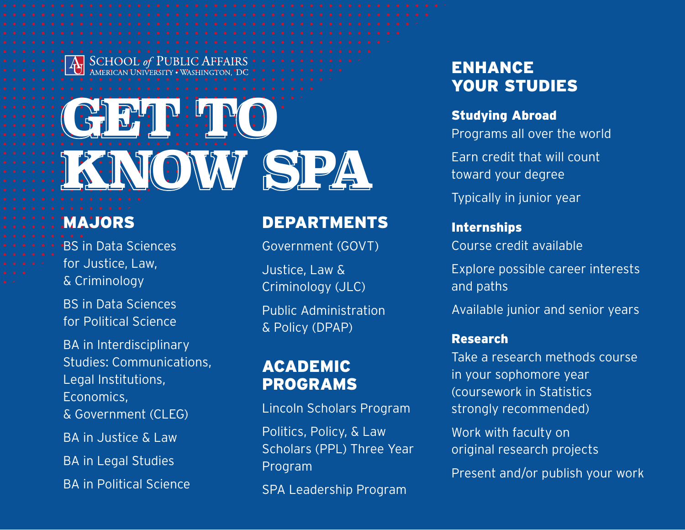# GET THE RO **KNOW SPA**

# MAJORS

BS in Data Sciences for Justice, Law, & Criminology

BS in Data Sciences for Political Science

BA in Interdisciplinary Studies: Communications, Legal Institutions, Economics,

& Government (CLEG)

BA in Justice & Law

BA in Legal Studies

BA in Political Science

### DEPARTMENTS

Government (GOVT)

Justice, Law & Criminology (JLC)

Public Administration & Policy (DPAP)

# **ACADEMIC** PROGRAMS

Lincoln Scholars Program

Politics, Policy, & Law Scholars (PPL) Three Year Program

SPA Leadership Program

# ENHANCE YOUR STUDIES

### Studying Abroad

Programs all over the world

Earn credit that will count toward your degree

Typically in junior year

### Internships

Course credit available

Explore possible career interests and paths

Available junior and senior years

### Research

Take a research methods course in your sophomore year (coursework in Statistics strongly recommended)

Work with faculty on original research projects

Present and/or publish your work